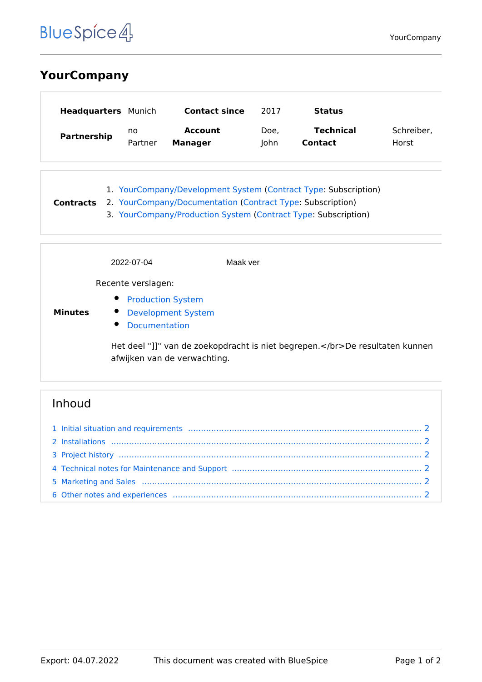# **BlueSpice4**

## **YourCompany**

| <b>Headquarters</b> Munich |         | <b>Contact since</b> | 2017 | Status           |            |
|----------------------------|---------|----------------------|------|------------------|------------|
| Partnership                | no      | <b>Account</b>       | Doe, | <b>Technical</b> | Schreiber, |
|                            | Partner | <b>Manager</b>       | lohn | <b>Contact</b>   | Horst      |

1. [YourCompany/Development System](https://nl.demo.bluespice.com/wiki/YourCompany/Development_System) ([Contract Type](https://nl.demo.bluespice.com/wiki/Eigenschap:Contract_Type): Subscription) **Contracts** 2. [YourCompany/Documentation](https://nl.demo.bluespice.com/wiki/YourCompany/Documentation) ([Contract Type:](https://nl.demo.bluespice.com/wiki/Eigenschap:Contract_Type) Subscription) 3. [YourCompany/Production System](https://nl.demo.bluespice.com/wiki/YourCompany/Production_System) [\(Contract Type](https://nl.demo.bluespice.com/wiki/Eigenschap:Contract_Type): Subscription)

|                | 2022-07-04                                                                                                    | Maak ver |  |  |  |
|----------------|---------------------------------------------------------------------------------------------------------------|----------|--|--|--|
|                | Recente verslagen:                                                                                            |          |  |  |  |
| <b>Minutes</b> | $\bullet$<br><b>Production System</b><br><b>Development System</b><br>$\bullet$<br>$\bullet$<br>Documentation |          |  |  |  |
|                | Het deel "]]" van de zoekopdracht is niet begrepen.De resultaten kunnen<br>afwijken van de verwachting.       |          |  |  |  |

## Inhoud

| 1 Initial situation and requirements (1000) (1000) (1000) (1000) (1000) (1000) (1000) (1000) (1000) (1000) (10 |  |
|----------------------------------------------------------------------------------------------------------------|--|
|                                                                                                                |  |
|                                                                                                                |  |
| 4 Technical notes for Maintenance and Support manufactured manufactured and 2                                  |  |
|                                                                                                                |  |
|                                                                                                                |  |